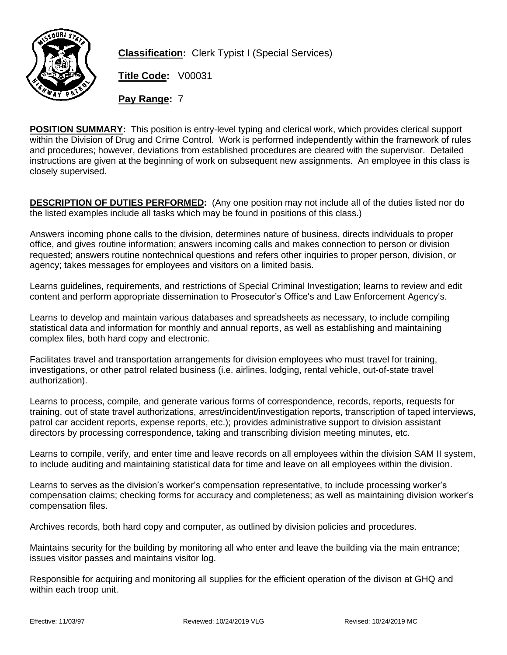

**Classification:** Clerk Typist I (Special Services)

**Title Code:** V00031

**Pay Range:** 7

**POSITION SUMMARY:** This position is entry-level typing and clerical work, which provides clerical support within the Division of Drug and Crime Control. Work is performed independently within the framework of rules and procedures; however, deviations from established procedures are cleared with the supervisor. Detailed instructions are given at the beginning of work on subsequent new assignments. An employee in this class is closely supervised.

**DESCRIPTION OF DUTIES PERFORMED:** (Any one position may not include all of the duties listed nor do the listed examples include all tasks which may be found in positions of this class.)

Answers incoming phone calls to the division, determines nature of business, directs individuals to proper office, and gives routine information; answers incoming calls and makes connection to person or division requested; answers routine nontechnical questions and refers other inquiries to proper person, division, or agency; takes messages for employees and visitors on a limited basis.

Learns guidelines, requirements, and restrictions of Special Criminal Investigation; learns to review and edit content and perform appropriate dissemination to Prosecutor's Office's and Law Enforcement Agency's.

Learns to develop and maintain various databases and spreadsheets as necessary, to include compiling statistical data and information for monthly and annual reports, as well as establishing and maintaining complex files, both hard copy and electronic.

Facilitates travel and transportation arrangements for division employees who must travel for training, investigations, or other patrol related business (i.e. airlines, lodging, rental vehicle, out-of-state travel authorization).

Learns to process, compile, and generate various forms of correspondence, records, reports, requests for training, out of state travel authorizations, arrest/incident/investigation reports, transcription of taped interviews, patrol car accident reports, expense reports, etc.); provides administrative support to division assistant directors by processing correspondence, taking and transcribing division meeting minutes, etc.

Learns to compile, verify, and enter time and leave records on all employees within the division SAM II system, to include auditing and maintaining statistical data for time and leave on all employees within the division.

Learns to serves as the division's worker's compensation representative, to include processing worker's compensation claims; checking forms for accuracy and completeness; as well as maintaining division worker's compensation files.

Archives records, both hard copy and computer, as outlined by division policies and procedures.

Maintains security for the building by monitoring all who enter and leave the building via the main entrance; issues visitor passes and maintains visitor log.

Responsible for acquiring and monitoring all supplies for the efficient operation of the divison at GHQ and within each troop unit.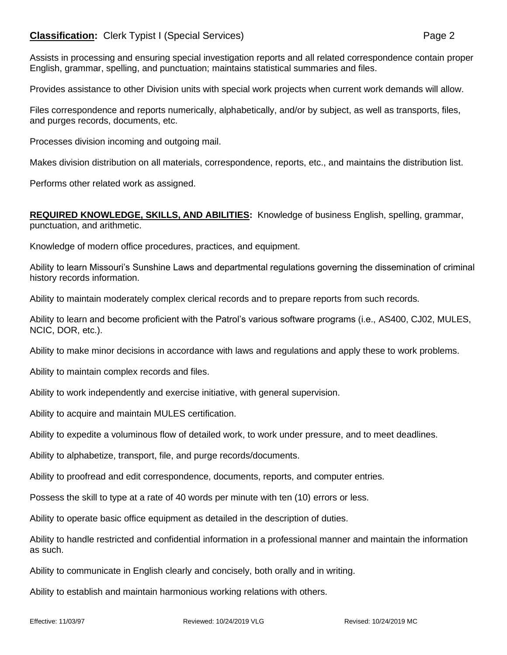## **Classification:** Clerk Typist I (Special Services) **Page 2** Page 2

Assists in processing and ensuring special investigation reports and all related correspondence contain proper English, grammar, spelling, and punctuation; maintains statistical summaries and files.

Provides assistance to other Division units with special work projects when current work demands will allow.

Files correspondence and reports numerically, alphabetically, and/or by subject, as well as transports, files, and purges records, documents, etc.

Processes division incoming and outgoing mail.

Makes division distribution on all materials, correspondence, reports, etc., and maintains the distribution list.

Performs other related work as assigned.

**REQUIRED KNOWLEDGE, SKILLS, AND ABILITIES:** Knowledge of business English, spelling, grammar, punctuation, and arithmetic.

Knowledge of modern office procedures, practices, and equipment.

Ability to learn Missouri's Sunshine Laws and departmental regulations governing the dissemination of criminal history records information.

Ability to maintain moderately complex clerical records and to prepare reports from such records.

Ability to learn and become proficient with the Patrol's various software programs (i.e., AS400, CJ02, MULES, NCIC, DOR, etc.).

Ability to make minor decisions in accordance with laws and regulations and apply these to work problems.

Ability to maintain complex records and files.

Ability to work independently and exercise initiative, with general supervision.

Ability to acquire and maintain MULES certification.

Ability to expedite a voluminous flow of detailed work, to work under pressure, and to meet deadlines.

Ability to alphabetize, transport, file, and purge records/documents.

Ability to proofread and edit correspondence, documents, reports, and computer entries.

Possess the skill to type at a rate of 40 words per minute with ten (10) errors or less.

Ability to operate basic office equipment as detailed in the description of duties.

Ability to handle restricted and confidential information in a professional manner and maintain the information as such.

Ability to communicate in English clearly and concisely, both orally and in writing.

Ability to establish and maintain harmonious working relations with others.